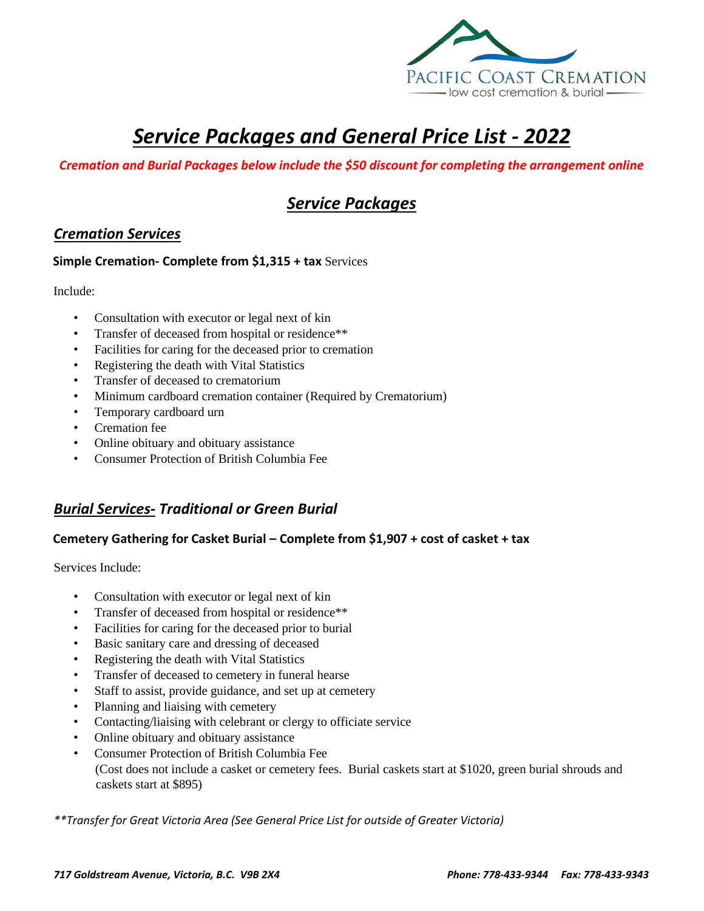

# *Service Packages and General Price List - 2022*

#### *Cremation and Burial Packages below include the \$50 discount for completing the arrangement online*

## *Service Packages*

#### *Cremation Services*

#### **Simple Cremation- Complete from \$1,315 + tax** Services

Include:

- Consultation with executor or legal next of kin
- Transfer of deceased from hospital or residence\*\*
- Facilities for caring for the deceased prior to cremation
- Registering the death with Vital Statistics
- Transfer of deceased to crematorium
- Minimum cardboard cremation container (Required by Crematorium)
- Temporary cardboard urn
- Cremation fee
- Online obituary and obituary assistance
- Consumer Protection of British Columbia Fee

### *Burial Services- Traditional or Green Burial*

#### **Cemetery Gathering for Casket Burial – Complete from \$1,907 + cost of casket + tax**

Services Include:

- Consultation with executor or legal next of kin
- Transfer of deceased from hospital or residence\*\*
- Facilities for caring for the deceased prior to burial
- Basic sanitary care and dressing of deceased
- Registering the death with Vital Statistics
- Transfer of deceased to cemetery in funeral hearse
- Staff to assist, provide guidance, and set up at cemetery
- Planning and liaising with cemetery
- Contacting/liaising with celebrant or clergy to officiate service
- Online obituary and obituary assistance
- Consumer Protection of British Columbia Fee (Cost does not include a casket or cemetery fees. Burial caskets start at \$1020, green burial shrouds and caskets start at \$895)

*\*\*Transfer for Great Victoria Area (See General Price List for outside of Greater Victoria)*